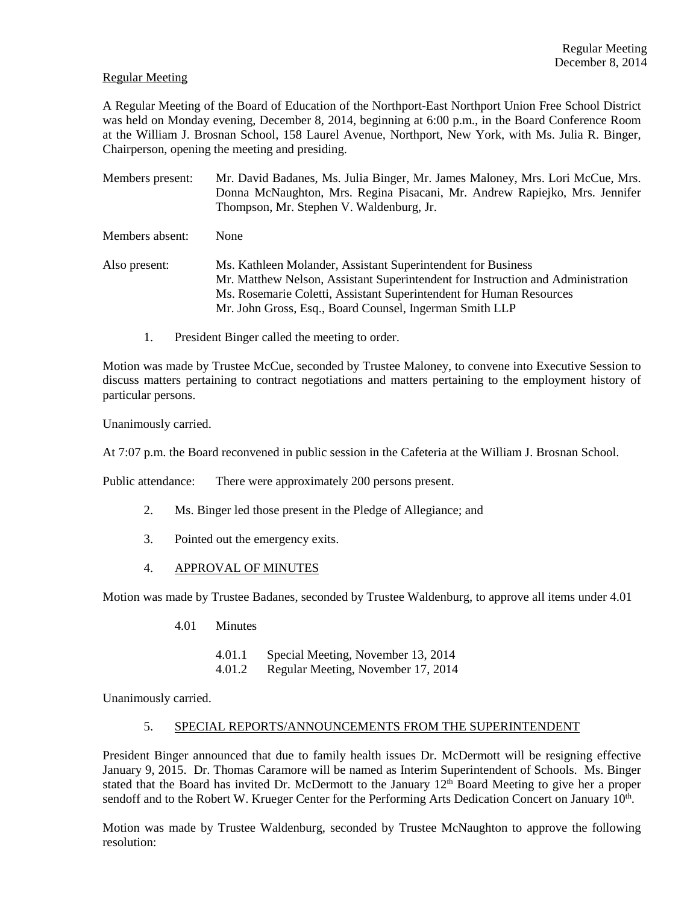#### Regular Meeting

A Regular Meeting of the Board of Education of the Northport-East Northport Union Free School District was held on Monday evening, December 8, 2014, beginning at 6:00 p.m., in the Board Conference Room at the William J. Brosnan School, 158 Laurel Avenue, Northport, New York, with Ms. Julia R. Binger, Chairperson, opening the meeting and presiding.

- Members present: Mr. David Badanes, Ms. Julia Binger, Mr. James Maloney, Mrs. Lori McCue, Mrs. Donna McNaughton, Mrs. Regina Pisacani, Mr. Andrew Rapiejko, Mrs. Jennifer Thompson, Mr. Stephen V. Waldenburg, Jr. Members absent: None
- Also present: Ms. Kathleen Molander, Assistant Superintendent for Business Mr. Matthew Nelson, Assistant Superintendent for Instruction and Administration Ms. Rosemarie Coletti, Assistant Superintendent for Human Resources Mr. John Gross, Esq., Board Counsel, Ingerman Smith LLP
	- 1. President Binger called the meeting to order.

Motion was made by Trustee McCue, seconded by Trustee Maloney, to convene into Executive Session to discuss matters pertaining to contract negotiations and matters pertaining to the employment history of particular persons.

Unanimously carried.

At 7:07 p.m. the Board reconvened in public session in the Cafeteria at the William J. Brosnan School.

Public attendance: There were approximately 200 persons present.

- 2. Ms. Binger led those present in the Pledge of Allegiance; and
- 3. Pointed out the emergency exits.
- 4. APPROVAL OF MINUTES

Motion was made by Trustee Badanes, seconded by Trustee Waldenburg, to approve all items under 4.01

- 4.01 Minutes
	- 4.01.1 Special Meeting, November 13, 2014
	- 4.01.2 Regular Meeting, November 17, 2014

Unanimously carried.

#### 5. SPECIAL REPORTS/ANNOUNCEMENTS FROM THE SUPERINTENDENT

President Binger announced that due to family health issues Dr. McDermott will be resigning effective January 9, 2015. Dr. Thomas Caramore will be named as Interim Superintendent of Schools. Ms. Binger stated that the Board has invited Dr. McDermott to the January  $12<sup>th</sup>$  Board Meeting to give her a proper sendoff and to the Robert W. Krueger Center for the Performing Arts Dedication Concert on January 10<sup>th</sup>.

Motion was made by Trustee Waldenburg, seconded by Trustee McNaughton to approve the following resolution: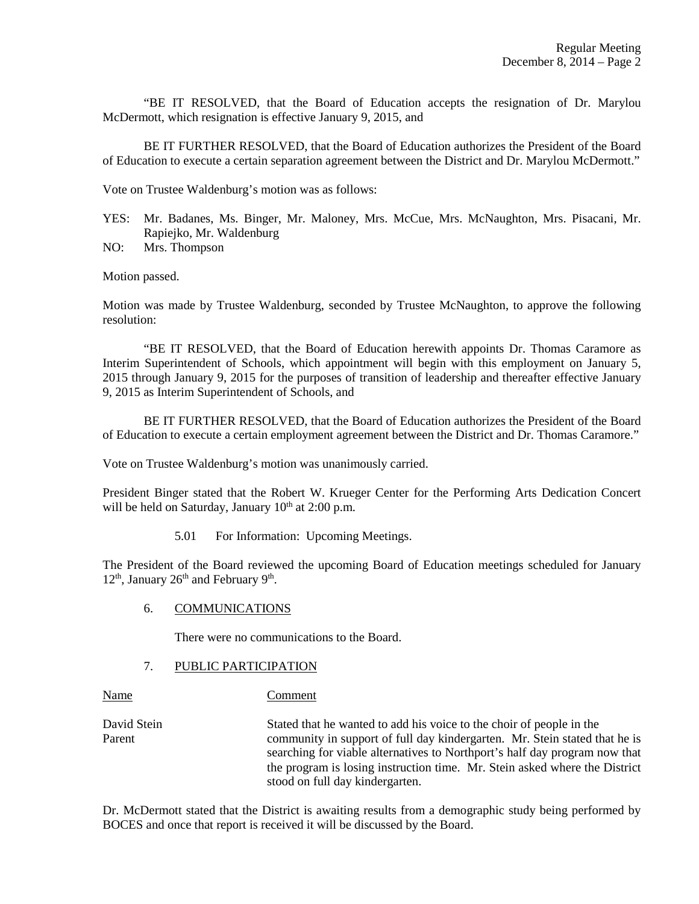"BE IT RESOLVED, that the Board of Education accepts the resignation of Dr. Marylou McDermott, which resignation is effective January 9, 2015, and

 BE IT FURTHER RESOLVED, that the Board of Education authorizes the President of the Board of Education to execute a certain separation agreement between the District and Dr. Marylou McDermott."

Vote on Trustee Waldenburg's motion was as follows:

- YES: Mr. Badanes, Ms. Binger, Mr. Maloney, Mrs. McCue, Mrs. McNaughton, Mrs. Pisacani, Mr. Rapiejko, Mr. Waldenburg
- NO: Mrs. Thompson

Motion passed.

Motion was made by Trustee Waldenburg, seconded by Trustee McNaughton, to approve the following resolution:

 "BE IT RESOLVED, that the Board of Education herewith appoints Dr. Thomas Caramore as Interim Superintendent of Schools, which appointment will begin with this employment on January 5, 2015 through January 9, 2015 for the purposes of transition of leadership and thereafter effective January 9, 2015 as Interim Superintendent of Schools, and

 BE IT FURTHER RESOLVED, that the Board of Education authorizes the President of the Board of Education to execute a certain employment agreement between the District and Dr. Thomas Caramore."

Vote on Trustee Waldenburg's motion was unanimously carried.

President Binger stated that the Robert W. Krueger Center for the Performing Arts Dedication Concert will be held on Saturday, January  $10^{th}$  at 2:00 p.m.

5.01 For Information: Upcoming Meetings.

The President of the Board reviewed the upcoming Board of Education meetings scheduled for January  $12<sup>th</sup>$ , January  $26<sup>th</sup>$  and February  $9<sup>th</sup>$ .

#### 6. COMMUNICATIONS

There were no communications to the Board.

#### 7. PUBLIC PARTICIPATION

#### Name Comment

David Stein Stated that he wanted to add his voice to the choir of people in the Parent community in support of full day kindergarten. Mr. Stein stated that he is searching for viable alternatives to Northport's half day program now that the program is losing instruction time. Mr. Stein asked where the District stood on full day kindergarten.

Dr. McDermott stated that the District is awaiting results from a demographic study being performed by BOCES and once that report is received it will be discussed by the Board.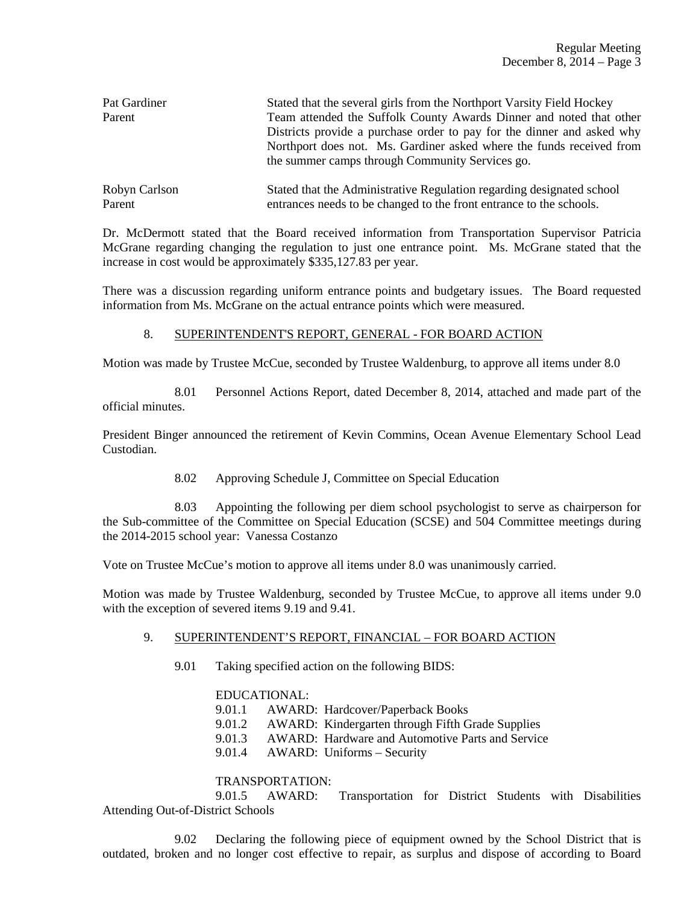| Pat Gardiner<br>Parent | Stated that the several girls from the Northport Varsity Field Hockey<br>Team attended the Suffolk County Awards Dinner and noted that other<br>Districts provide a purchase order to pay for the dinner and asked why<br>Northport does not. Ms. Gardiner asked where the funds received from<br>the summer camps through Community Services go. |
|------------------------|---------------------------------------------------------------------------------------------------------------------------------------------------------------------------------------------------------------------------------------------------------------------------------------------------------------------------------------------------|
| Robyn Carlson          | Stated that the Administrative Regulation regarding designated school                                                                                                                                                                                                                                                                             |
| Parent                 | entrances needs to be changed to the front entrance to the schools.                                                                                                                                                                                                                                                                               |

Dr. McDermott stated that the Board received information from Transportation Supervisor Patricia McGrane regarding changing the regulation to just one entrance point. Ms. McGrane stated that the increase in cost would be approximately \$335,127.83 per year.

There was a discussion regarding uniform entrance points and budgetary issues. The Board requested information from Ms. McGrane on the actual entrance points which were measured.

## 8. SUPERINTENDENT'S REPORT, GENERAL - FOR BOARD ACTION

Motion was made by Trustee McCue, seconded by Trustee Waldenburg, to approve all items under 8.0

 8.01 Personnel Actions Report, dated December 8, 2014, attached and made part of the official minutes.

President Binger announced the retirement of Kevin Commins, Ocean Avenue Elementary School Lead Custodian.

8.02 Approving Schedule J, Committee on Special Education

 8.03 Appointing the following per diem school psychologist to serve as chairperson for the Sub-committee of the Committee on Special Education (SCSE) and 504 Committee meetings during the 2014-2015 school year: Vanessa Costanzo

Vote on Trustee McCue's motion to approve all items under 8.0 was unanimously carried.

Motion was made by Trustee Waldenburg, seconded by Trustee McCue, to approve all items under 9.0 with the exception of severed items 9.19 and 9.41.

## 9. SUPERINTENDENT'S REPORT, FINANCIAL – FOR BOARD ACTION

9.01 Taking specified action on the following BIDS:

## EDUCATIONAL:

9.01.1 AWARD: Hardcover/Paperback Books

9.01.2 AWARD: Kindergarten through Fifth Grade Supplies

9.01.3 AWARD: Hardware and Automotive Parts and Service

9.01.4 AWARD: Uniforms – Security

## TRANSPORTATION:

 9.01.5 AWARD: Transportation for District Students with Disabilities Attending Out-of-District Schools

 9.02 Declaring the following piece of equipment owned by the School District that is outdated, broken and no longer cost effective to repair, as surplus and dispose of according to Board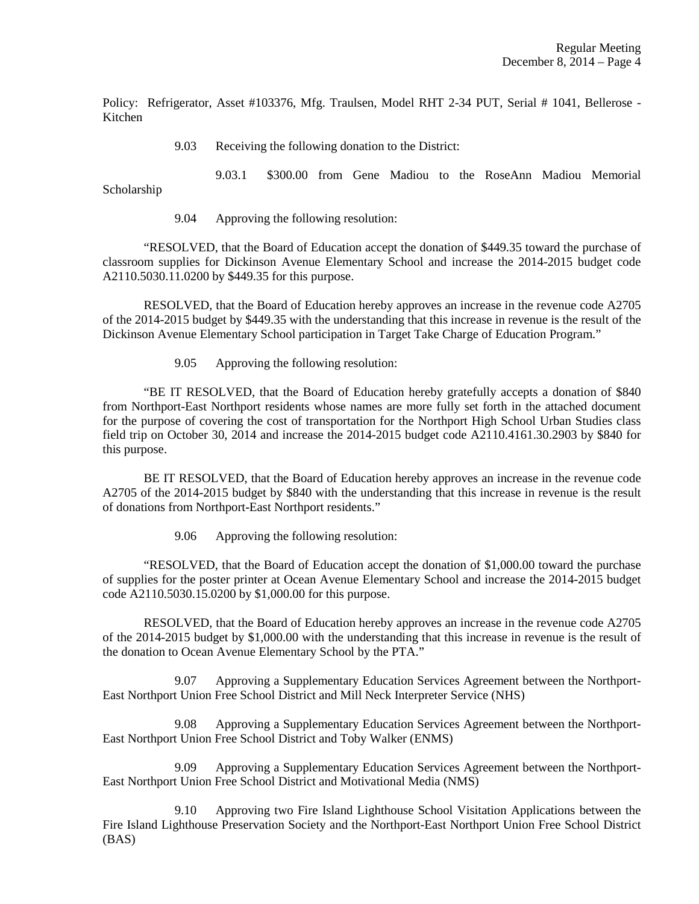Policy: Refrigerator, Asset #103376, Mfg. Traulsen, Model RHT 2-34 PUT, Serial # 1041, Bellerose - Kitchen

9.03 Receiving the following donation to the District:

 9.03.1 \$300.00 from Gene Madiou to the RoseAnn Madiou Memorial Scholarship

9.04 Approving the following resolution:

"RESOLVED, that the Board of Education accept the donation of \$449.35 toward the purchase of classroom supplies for Dickinson Avenue Elementary School and increase the 2014-2015 budget code A2110.5030.11.0200 by \$449.35 for this purpose.

RESOLVED, that the Board of Education hereby approves an increase in the revenue code A2705 of the 2014-2015 budget by \$449.35 with the understanding that this increase in revenue is the result of the Dickinson Avenue Elementary School participation in Target Take Charge of Education Program."

9.05 Approving the following resolution:

 "BE IT RESOLVED, that the Board of Education hereby gratefully accepts a donation of \$840 from Northport-East Northport residents whose names are more fully set forth in the attached document for the purpose of covering the cost of transportation for the Northport High School Urban Studies class field trip on October 30, 2014 and increase the 2014-2015 budget code A2110.4161.30.2903 by \$840 for this purpose.

 BE IT RESOLVED, that the Board of Education hereby approves an increase in the revenue code A2705 of the 2014-2015 budget by \$840 with the understanding that this increase in revenue is the result of donations from Northport-East Northport residents."

9.06 Approving the following resolution:

 "RESOLVED, that the Board of Education accept the donation of \$1,000.00 toward the purchase of supplies for the poster printer at Ocean Avenue Elementary School and increase the 2014-2015 budget code A2110.5030.15.0200 by \$1,000.00 for this purpose.

 RESOLVED, that the Board of Education hereby approves an increase in the revenue code A2705 of the 2014-2015 budget by \$1,000.00 with the understanding that this increase in revenue is the result of the donation to Ocean Avenue Elementary School by the PTA."

 9.07 Approving a Supplementary Education Services Agreement between the Northport-East Northport Union Free School District and Mill Neck Interpreter Service (NHS)

 9.08 Approving a Supplementary Education Services Agreement between the Northport-East Northport Union Free School District and Toby Walker (ENMS)

 9.09 Approving a Supplementary Education Services Agreement between the Northport-East Northport Union Free School District and Motivational Media (NMS)

 9.10 Approving two Fire Island Lighthouse School Visitation Applications between the Fire Island Lighthouse Preservation Society and the Northport-East Northport Union Free School District (BAS)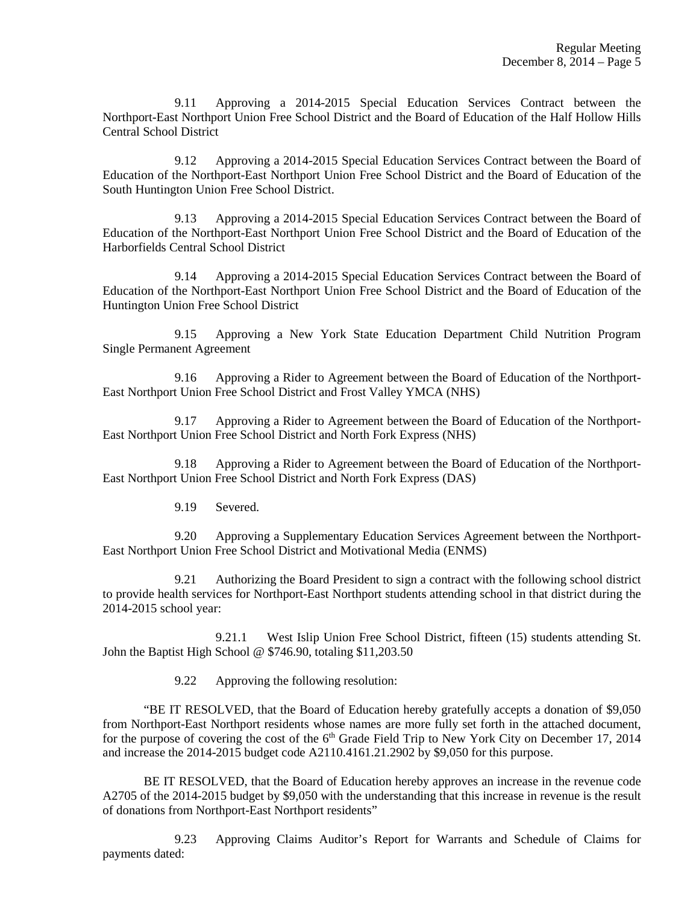9.11 Approving a 2014-2015 Special Education Services Contract between the Northport-East Northport Union Free School District and the Board of Education of the Half Hollow Hills Central School District

 9.12 Approving a 2014-2015 Special Education Services Contract between the Board of Education of the Northport-East Northport Union Free School District and the Board of Education of the South Huntington Union Free School District.

 9.13 Approving a 2014-2015 Special Education Services Contract between the Board of Education of the Northport-East Northport Union Free School District and the Board of Education of the Harborfields Central School District

 9.14 Approving a 2014-2015 Special Education Services Contract between the Board of Education of the Northport-East Northport Union Free School District and the Board of Education of the Huntington Union Free School District

 9.15 Approving a New York State Education Department Child Nutrition Program Single Permanent Agreement

 9.16 Approving a Rider to Agreement between the Board of Education of the Northport-East Northport Union Free School District and Frost Valley YMCA (NHS)

 9.17 Approving a Rider to Agreement between the Board of Education of the Northport-East Northport Union Free School District and North Fork Express (NHS)

 9.18 Approving a Rider to Agreement between the Board of Education of the Northport-East Northport Union Free School District and North Fork Express (DAS)

9.19 Severed.

 9.20 Approving a Supplementary Education Services Agreement between the Northport-East Northport Union Free School District and Motivational Media (ENMS)

 9.21 Authorizing the Board President to sign a contract with the following school district to provide health services for Northport-East Northport students attending school in that district during the 2014-2015 school year:

 9.21.1 West Islip Union Free School District, fifteen (15) students attending St. John the Baptist High School @ \$746.90, totaling \$11,203.50

9.22 Approving the following resolution:

 "BE IT RESOLVED, that the Board of Education hereby gratefully accepts a donation of \$9,050 from Northport-East Northport residents whose names are more fully set forth in the attached document, for the purpose of covering the cost of the  $6<sup>th</sup>$  Grade Field Trip to New York City on December 17, 2014 and increase the 2014-2015 budget code A2110.4161.21.2902 by \$9,050 for this purpose.

 BE IT RESOLVED, that the Board of Education hereby approves an increase in the revenue code A2705 of the 2014-2015 budget by \$9,050 with the understanding that this increase in revenue is the result of donations from Northport-East Northport residents"

 9.23 Approving Claims Auditor's Report for Warrants and Schedule of Claims for payments dated: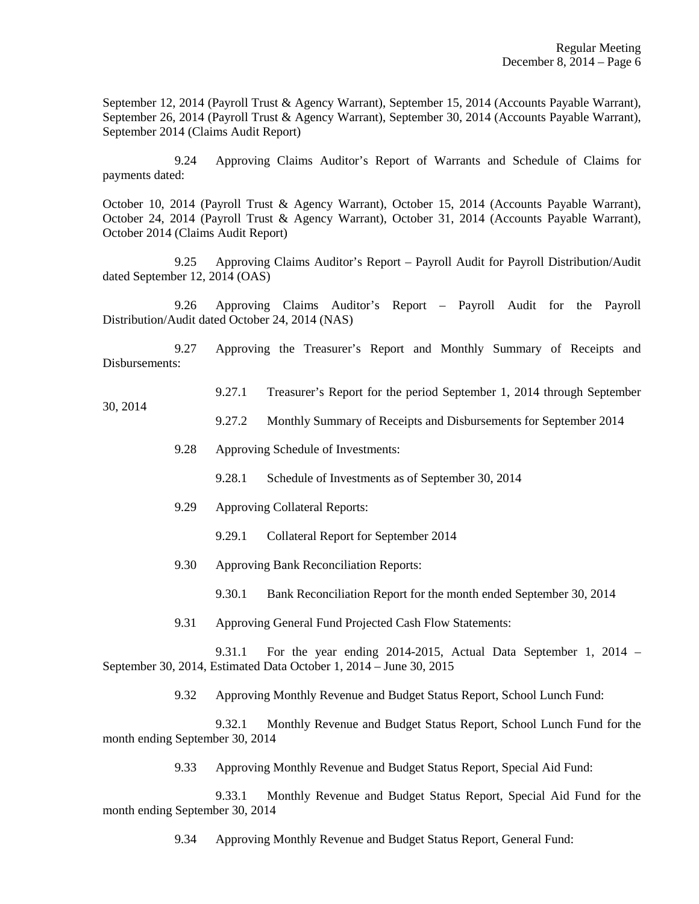September 12, 2014 (Payroll Trust & Agency Warrant), September 15, 2014 (Accounts Payable Warrant), September 26, 2014 (Payroll Trust & Agency Warrant), September 30, 2014 (Accounts Payable Warrant), September 2014 (Claims Audit Report)

 9.24 Approving Claims Auditor's Report of Warrants and Schedule of Claims for payments dated:

October 10, 2014 (Payroll Trust & Agency Warrant), October 15, 2014 (Accounts Payable Warrant), October 24, 2014 (Payroll Trust & Agency Warrant), October 31, 2014 (Accounts Payable Warrant), October 2014 (Claims Audit Report)

 9.25 Approving Claims Auditor's Report – Payroll Audit for Payroll Distribution/Audit dated September 12, 2014 (OAS)

 9.26 Approving Claims Auditor's Report – Payroll Audit for the Payroll Distribution/Audit dated October 24, 2014 (NAS)

 9.27 Approving the Treasurer's Report and Monthly Summary of Receipts and Disbursements:

# 9.27.1 Treasurer's Report for the period September 1, 2014 through September

9.27.2 Monthly Summary of Receipts and Disbursements for September 2014

- 9.28 Approving Schedule of Investments:
	- 9.28.1 Schedule of Investments as of September 30, 2014
- 9.29 Approving Collateral Reports:
	- 9.29.1 Collateral Report for September 2014
- 9.30 Approving Bank Reconciliation Reports:
	- 9.30.1 Bank Reconciliation Report for the month ended September 30, 2014
- 9.31 Approving General Fund Projected Cash Flow Statements:

 9.31.1 For the year ending 2014-2015, Actual Data September 1, 2014 – September 30, 2014, Estimated Data October 1, 2014 – June 30, 2015

9.32 Approving Monthly Revenue and Budget Status Report, School Lunch Fund:

 9.32.1 Monthly Revenue and Budget Status Report, School Lunch Fund for the month ending September 30, 2014

9.33 Approving Monthly Revenue and Budget Status Report, Special Aid Fund:

 9.33.1 Monthly Revenue and Budget Status Report, Special Aid Fund for the month ending September 30, 2014

9.34 Approving Monthly Revenue and Budget Status Report, General Fund:

#### 30, 2014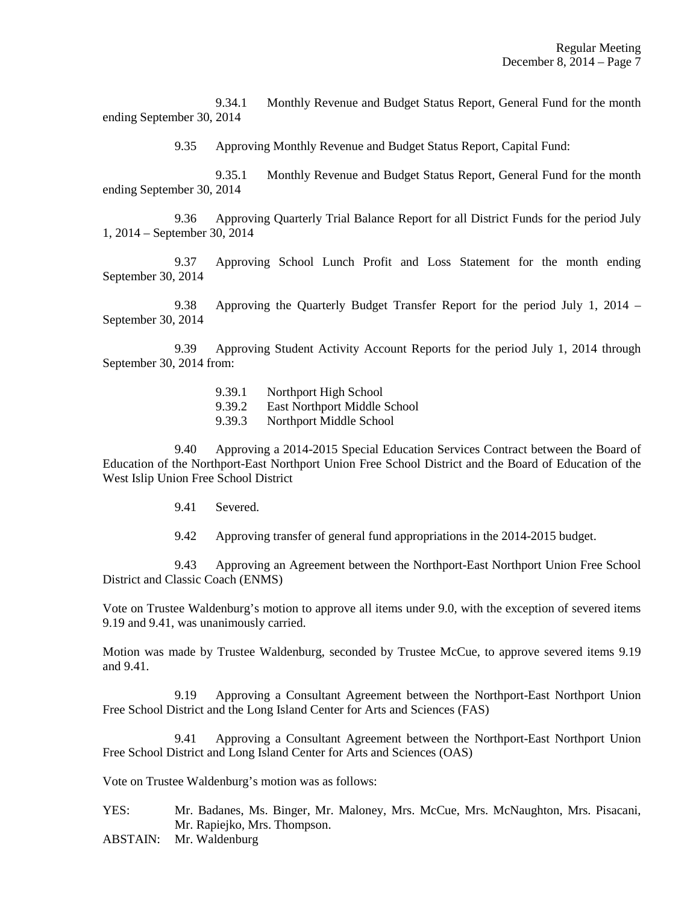9.34.1 Monthly Revenue and Budget Status Report, General Fund for the month ending September 30, 2014

9.35 Approving Monthly Revenue and Budget Status Report, Capital Fund:

 9.35.1 Monthly Revenue and Budget Status Report, General Fund for the month ending September 30, 2014

 9.36 Approving Quarterly Trial Balance Report for all District Funds for the period July 1, 2014 – September 30, 2014

 9.37 Approving School Lunch Profit and Loss Statement for the month ending September 30, 2014

 9.38 Approving the Quarterly Budget Transfer Report for the period July 1, 2014 – September 30, 2014

 9.39 Approving Student Activity Account Reports for the period July 1, 2014 through September 30, 2014 from:

- 9.39.1 Northport High School
- 9.39.2 East Northport Middle School
- 9.39.3 Northport Middle School

 9.40 Approving a 2014-2015 Special Education Services Contract between the Board of Education of the Northport-East Northport Union Free School District and the Board of Education of the West Islip Union Free School District

- 9.41 Severed.
- 9.42 Approving transfer of general fund appropriations in the 2014-2015 budget.

 9.43 Approving an Agreement between the Northport-East Northport Union Free School District and Classic Coach (ENMS)

Vote on Trustee Waldenburg's motion to approve all items under 9.0, with the exception of severed items 9.19 and 9.41, was unanimously carried.

Motion was made by Trustee Waldenburg, seconded by Trustee McCue, to approve severed items 9.19 and 9.41.

 9.19 Approving a Consultant Agreement between the Northport-East Northport Union Free School District and the Long Island Center for Arts and Sciences (FAS)

 9.41 Approving a Consultant Agreement between the Northport-East Northport Union Free School District and Long Island Center for Arts and Sciences (OAS)

Vote on Trustee Waldenburg's motion was as follows:

YES: Mr. Badanes, Ms. Binger, Mr. Maloney, Mrs. McCue, Mrs. McNaughton, Mrs. Pisacani, Mr. Rapiejko, Mrs. Thompson.

ABSTAIN: Mr. Waldenburg